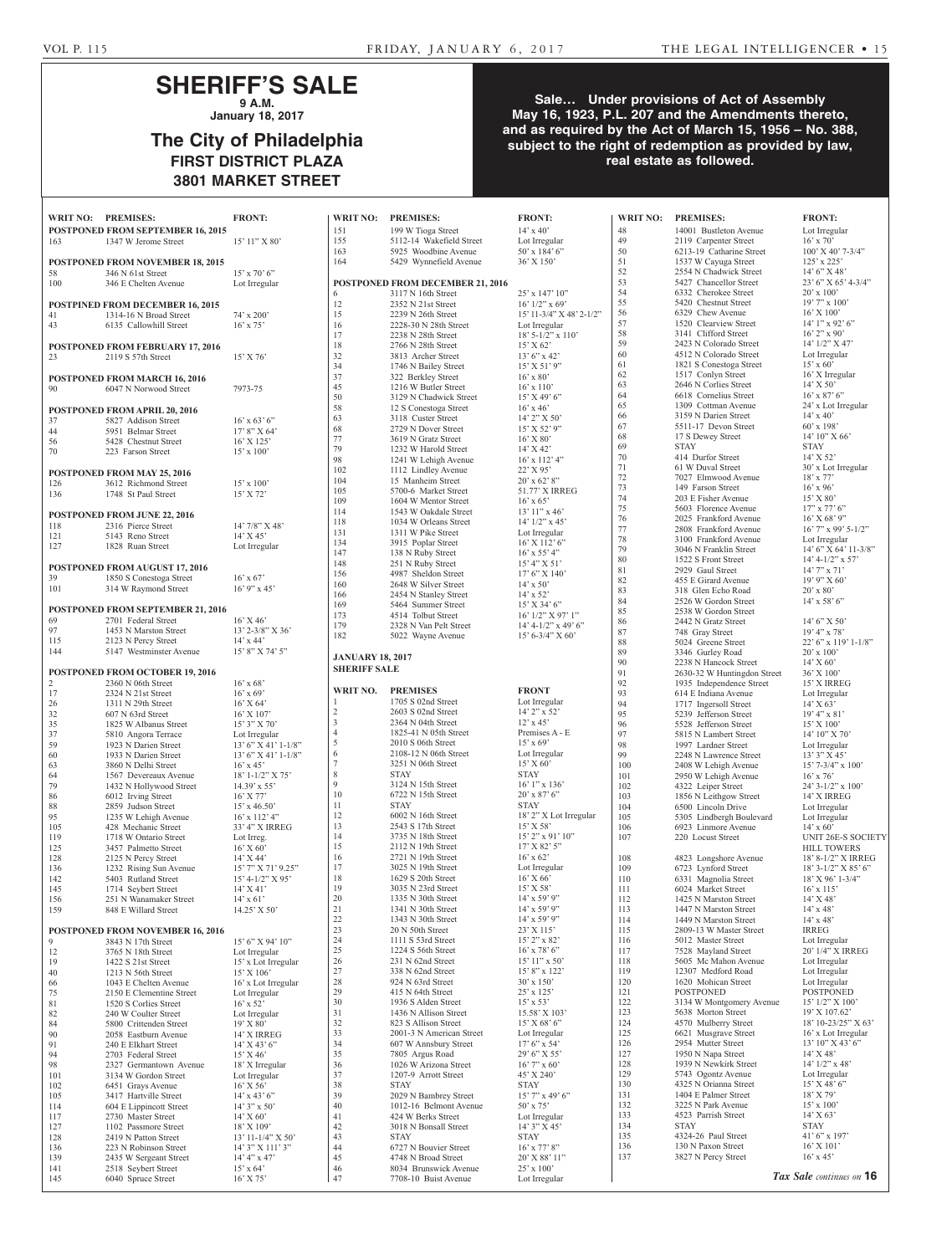## **SHERIFF'S SALE 9 A.M.**

**January 18, 2017**

## **The City of Philadelphia FIRST DISTRICT PLAZA 3801 MARKET STREET**

### **Sale… Under provisions of Act of Assembly May 16, 1923, P.L. 207 and the Amendments thereto, and as required by the Act of March 15, 1956 – No. 388, subject to the right of redemption as provided by law, real estate as followed.**

| WRIT NO:   | <b>PREMISES:</b><br>POSTPONED FROM SEPTEMBER 16, 2015      | <b>FRONT:</b>                         | <b>WRIT NO:</b><br>151                         | <b>PREMISES:</b>                               | <b>FRONT:</b><br>$14' \times 40'$           |
|------------|------------------------------------------------------------|---------------------------------------|------------------------------------------------|------------------------------------------------|---------------------------------------------|
| 163        | 1347 W Jerome Street                                       | $15'11''$ X 80'                       | 155                                            | 199 W Tioga Street<br>5112-14 Wakefield Street | Lot Irregular                               |
|            |                                                            |                                       | 163                                            | 5925 Woodbine Avenue                           | $50'$ x $184'$ 6"                           |
|            | <b>POSTPONED FROM NOVEMBER 18, 2015</b>                    | $15'$ x 70' 6"                        | 164                                            | 5429 Wynnefield Avenue                         | 36' X 150'                                  |
| 58<br>100  | 346 N 61st Street<br>346 E Chelten Avenue                  | Lot Irregular                         |                                                | POSTPONED FROM DECEMBER 21, 2016               |                                             |
|            |                                                            |                                       | 6                                              | 3117 N 16th Street                             | $25'$ x $147'$ $10''$                       |
|            | POSTPINED FROM DECEMBER 16, 2015                           |                                       | 12                                             | 2352 N 21st Street                             | $16'$ $1/2$ " x $69'$                       |
| 41<br>43   | 1314-16 N Broad Street<br>6135 Callowhill Street           | 74' x 200'<br>$16'$ x 75'             | 15<br>16                                       | 2239 N 26th Street<br>2228-30 N 28th Street    | 15' 11-3/4" X 48' 2-1/2"<br>Lot Irregular   |
|            |                                                            |                                       | 17                                             | 2238 N 28th Street                             | $18'$ 5-1/2" x 110"                         |
|            | POSTPONED FROM FEBRUARY 17, 2016                           |                                       | 18                                             | 2766 N 28th Street                             | 15' X 62'                                   |
| 23         | 2119 S 57th Street                                         | $15'$ X 76'                           | 32<br>34                                       | 3813 Archer Street                             | $13'6''$ x 42'<br>$15'$ X 51' 9"            |
|            | POSTPONED FROM MARCH 16, 2016                              |                                       | 37                                             | 1746 N Bailey Street<br>322 Berkley Street     | $16'$ x $80'$                               |
| 90         | 6047 N Norwood Street                                      | 7973-75                               | 45                                             | 1216 W Butler Street                           | $16' \times 110'$                           |
|            |                                                            |                                       | 50                                             | 3129 N Chadwick Street                         | $15'$ X 49' 6"                              |
|            | POSTPONED FROM APRIL 20, 2016                              |                                       | 58<br>63                                       | 12 S Conestoga Street<br>3118 Custer Street    | $16'$ x 46 <sup>2</sup><br>$14'$ 2" X 50'   |
| 37<br>44   | 5827 Addison Street<br>5951 Belmar Street                  | $16'$ x 63' 6"<br>$17'8''$ X 64'      | 68                                             | 2729 N Dover Street                            | 15' X 52' 9"                                |
| 56         | 5428 Chestnut Street                                       | $16'$ X $125'$                        | 77                                             | 3619 N Gratz Street                            | $16'$ X $80'$                               |
| 70         | 223 Farson Street                                          | $15' \times 100'$                     | 79                                             | 1232 W Harold Street                           | $14'$ X 42'                                 |
|            |                                                            |                                       | 98<br>102                                      | 1241 W Lehigh Avenue<br>1112 Lindley Avenue    | $16'$ x $112'$ 4"<br>$22'$ X 95'            |
| 126        | <b>POSTPONED FROM MAY 25, 2016</b><br>3612 Richmond Street | $15' \times 100'$                     | 104                                            | 15 Manheim Street                              | $20'$ x 62' 8"                              |
| 136        | 1748 St Paul Street                                        | $15'$ X 72'                           | 105                                            | 5700-6 Market Street                           | 51.77' X IRREG                              |
|            |                                                            |                                       | 109                                            | 1604 W Mentor Street                           | $16'$ x 65'                                 |
|            | POSTPONED FROM JUNE 22, 2016                               |                                       | 114<br>118                                     | 1543 W Oakdale Street<br>1034 W Orleans Street | $13'$ 11" x 46'<br>$14'$ $1/2$ " x $45'$    |
| 118<br>121 | 2316 Pierce Street<br>5143 Reno Street                     | $14'7/8''$ X 48'<br>$14'$ X $45'$     | 131                                            | 1311 W Pike Street                             | Lot Irregular                               |
| 127        | 1828 Ruan Street                                           | Lot Irregular                         | 134                                            | 3915 Poplar Street                             | 16' X 112' 6"                               |
|            |                                                            |                                       | 147<br>148                                     | 138 N Ruby Street<br>251 N Ruby Street         | $16'$ x 55' 4"<br>15' 4'' X 51'             |
|            | <b>POSTPONED FROM AUGUST 17, 2016</b>                      |                                       | 156                                            | 4987 Sheldon Street                            | 17' 6'' X 140'                              |
| 39<br>101  | 1850 S Conestoga Street<br>314 W Raymond Street            | $16'$ x 67'<br>$16'$ 9" x 45"         | 160                                            | 2648 W Silver Street                           | $14' \times 50'$                            |
|            |                                                            |                                       | 166                                            | 2454 N Stanley Street                          | $14' \times 52'$                            |
|            | <b>POSTPONED FROM SEPTEMBER 21, 2016</b>                   |                                       | 169<br>173                                     | 5464 Summer Street<br>4514 Tolbut Street       | $15'$ X 34' 6"<br>$16'$ $1/2''$ X 97' $1''$ |
| 69         | 2701 Federal Street                                        | $16'$ X 46'                           | 179                                            | 2328 N Van Pelt Street                         | $14' 4 - 1/2''$ x 49' 6"                    |
| 97<br>115  | 1453 N Marston Street<br>2123 N Percy Street               | $13'$ 2-3/8" X 36"<br>$14'$ x $44'$   | 182                                            | 5022 Wayne Avenue                              | $15' 6 - 3/4'' X 60'$                       |
| 144        | 5147 Westminster Avenue                                    | 15' 8" X 74' 5"                       |                                                |                                                |                                             |
|            |                                                            |                                       | <b>JANUARY 18, 2017</b><br><b>SHERIFF SALE</b> |                                                |                                             |
|            | POSTPONED FROM OCTOBER 19, 2016                            |                                       |                                                |                                                |                                             |
| 2<br>17    | 2360 N 06th Street<br>2324 N 21st Street                   | $16'$ x 68'<br>$16'$ x 69'            | WRIT NO.                                       | <b>PREMISES</b>                                | <b>FRONT</b>                                |
| 26         | 1311 N 29th Street                                         | $16'$ X 64'                           | $\mathbf{1}$                                   | 1705 S 02nd Street                             | Lot Irregular                               |
| 32         | 607 N 63rd Street                                          | $16'$ X $107'$                        | $\overline{2}$                                 | 2603 S 02nd Street<br>2364 N 04th Street       | 14' 2" x 52'                                |
| 35<br>37   | 1825 W Albanus Street<br>5810 Angora Terrace               | $15'3''$ X 70'<br>Lot Irregular       | 3<br>$\overline{4}$                            | 1825-41 N 05th Street                          | 12' x 45'<br>Premises A - E                 |
| 59         | 1923 N Darien Street                                       | $13'6''$ X 41' 1-1/8"                 | 5                                              | 2010 S 06th Street                             | $15'$ x 69'                                 |
| 60         | 1933 N Darien Street                                       | $13'6''$ X 41' 1-1/8"                 | 6                                              | 2108-12 N 06th Street                          | Lot Irregular                               |
| 63<br>64   | 3860 N Delhi Street                                        | $16'$ x 45'<br>$18' 1 - 1/2'' X 75'$  | $\tau$<br>8                                    | 3251 N 06th Street<br><b>STAY</b>              | 15' X 60'<br><b>STAY</b>                    |
| 79         | 1567 Devereaux Avenue<br>1432 N Hollywood Street           | $14.39'$ x 55'                        | 9                                              | 3124 N 15th Street                             | $16'1''$ x $136'$                           |
| 86         | 6012 Irving Street                                         | $16'$ X 77'                           | 10                                             | 6722 N 15th Street                             | $20'$ x $87'$ 6"                            |
| 88         | 2859 Judson Street                                         | $15'$ x 46.50'                        | 11                                             | <b>STAY</b>                                    | <b>STAY</b>                                 |
| 95<br>105  | 1235 W Lehigh Avenue<br>428 Mechanic Street                | $16'$ x $112'$ 4"<br>33' 4" X IRREG   | 12<br>13                                       | 6002 N 16th Street<br>2543 S 17th Street       | 18' 2" X Lot Irregular<br>$15'$ X 58'       |
| 119        | 1718 W Ontario Street                                      | Lot Irreg.                            | 14                                             | 3735 N 18th Street                             | $15'$ 2" x 91' 10"                          |
| 125        | 3457 Palmetto Street                                       | $16'$ X 60'                           | 15                                             | $2112$ N 19th Street                           | $17'$ X 82' 5"                              |
| 128        | 2125 N Percy Street                                        | $14'$ X 44'                           | 16                                             | $2721$ N 19th Street                           | $16'$ x 62'                                 |
| 136<br>142 | 1232 Rising Sun Avenue<br>5403 Rutland Street              | 15' 7" X 71' 9.25"                    | 17<br>18                                       | 3025 N 19th Street<br>1629 S 20th Street       | Lot Irregular<br>$16'$ X 66'                |
| 145        | 1714 Seybert Street                                        | $15' 4 - 1/2'' X 95'$<br>$14'$ X 41'  | 19                                             | 3035 N 23rd Street                             | $15'$ X 58'                                 |
| 156        | 251 N Wanamaker Street                                     | $14' \times 61'$                      | 20                                             | 1335 N 30th Street                             | $14'$ x 59' 9"                              |
| 159        | 848 E Willard Street                                       | $14.25'$ X 50'                        | 21                                             | 1341 N 30th Street                             | $14'$ x 59' 9"                              |
|            | POSTPONED FROM NOVEMBER 16, 2016                           |                                       | 22<br>23                                       | 1343 N 30th Street<br>20 N 50th Street         | $14'$ x 59' 9"<br>$23'$ X 115'              |
| 9          | 3843 N 17th Street                                         | 15' 6" X 94' 10"                      | 24                                             | 1111 S 53rd Street                             | $15'$ 2" x 82"                              |
| 12         | 3765 N 18th Street                                         | Lot Irregular                         | 25                                             | 1224 S 56th Street                             | $16'$ x 78' 6"                              |
| 19         | 1422 S 21st Street                                         | 15' x Lot Irregular                   | 26                                             | 231 N 62nd Street                              | $15'$ 11" x 50"                             |
| 40<br>66   | $1213$ N 56th Street<br>1043 E Chelten Avenue              | $15'$ X $106'$<br>16' x Lot Irregular | 27<br>28                                       | 338 N 62nd Street<br>924 N 63rd Street         | $15'8''$ x $122'$<br>$30'$ x $150'$         |
| 75         | 2150 E Clementine Street                                   | Lot Irregular                         | 29                                             | 415 N 64th Street                              | $25'$ x $125'$                              |
| 81         | 1520 S Corlies Street                                      | $16'$ x 52'                           | 30                                             | 1936 S Alden Street                            | $15' \times 53'$                            |
| 82<br>84   | 240 W Coulter Street                                       | Lot Irregular                         | 31<br>32                                       | 1436 N Allison Street<br>823 S Allison Street  | 15.58' X 103'<br>15' X 68' 6''              |
| 90         | 5800 Crittenden Street<br>2058 Eastburn Avenue             | 19' X 80'<br>14' X IRREG              | 33                                             | 2001-3 N American Street                       | Lot Irregular                               |
| 91         | 240 E Elkhart Street                                       | $14'$ X 43' 6"                        | 34                                             | 607 W Annsbury Street                          | $17'6''$ x 54'                              |
| 94         | 2703 Federal Street                                        | $15'$ X 46'                           | 35                                             | 7805 Argus Road                                | $29'6''$ X 55'                              |
| 98         | 2327 Germantown Avenue                                     | 18' X Irregular                       | 36                                             | 1026 W Arizona Street<br>1207-9 Arrott Street  | $16'7''$ x 60'                              |
| 101<br>102 | 3134 W Gordon Street<br>6451 Grays Avenue                  | Lot Irregular<br>$16'$ X 56'          | 37<br>38                                       | <b>STAY</b>                                    | 45' X 240'<br><b>STAY</b>                   |
| 105        | 3417 Hartville Street                                      | $14'$ x 43' 6"                        | 39                                             | 2029 N Bambrey Street                          | $15'$ 7" x 49' 6"                           |
| 114        | 604 E Lippincott Street                                    | $14'3'' \times 50'$                   | 40                                             | 1012-16 Belmont Avenue                         | 50' x 75'                                   |
| 117        | 2730 Master Street                                         | $14'$ X 60'                           | 41                                             | 424 W Berks Street                             | Lot Irregular                               |
| 127<br>128 | 1102 Passmore Street<br>2419 N Patton Street               | $18'$ X $109'$<br>$13'$ 11-1/4" X 50' | 42<br>43                                       | 3018 N Bonsall Street<br><b>STAY</b>           | $14'3''$ X 45'<br><b>STAY</b>               |
| 136        | 223 N Robinson Street                                      | $14'$ 3" X $111'$ 3"                  | 44                                             | 6727 N Bouvier Street                          | $16'$ x 77' 8"                              |
| 139        | 2435 W Sergeant Street                                     | $14' 4''$ x 47'                       | 45                                             | 4748 N Broad Street                            | 20' X 88' 11"                               |
| 141        | 2518 Seybert Street                                        | $15'$ x 64'                           | 46                                             | 8034 Brunswick Avenue                          | $25'$ x $100'$                              |
| 145        | 6040 Spruce Street                                         | $16'$ X 75'                           | 47                                             | 7708-10 Buist Avenue                           | Lot Irregular                               |

|      | 14 A 40<br>Lot Irregular                          | 40<br>49   |
|------|---------------------------------------------------|------------|
|      | 50' x 184' 6"<br>36'X 150'                        | 50<br>51   |
|      |                                                   | 52         |
| 2016 | 25' x 147' 10"                                    | 53<br>54   |
|      | $16'$ $1/2$ " x $69'$<br>15' 11-3/4" X 48' 2-1/2" | 55<br>56   |
|      | Lot Irregular                                     | 57         |
|      | 18' 5-1/2" x 110'<br>15' X 62'                    | 58<br>59   |
|      | 13' 6" x 42'                                      | 60         |
|      | 15' X 51' 9"<br>$16'$ x $80'$                     | 61<br>62   |
|      | $16'$ x $110'$                                    | 63         |
|      | 15' X 49' 6''<br>$16'$ x $46'$                    | 64<br>65   |
|      | 14' 2" X 50'                                      | 66         |
|      | 15' X 52' 9"<br>$16'$ X $80'$                     | 67<br>68   |
|      | 14' X 42'                                         | 69<br>70   |
|      | $16'$ x $112'$ 4"<br>22' X 95'                    | 71         |
|      | $20'$ x 62' 8"                                    | 72<br>73   |
|      | 51.77' X IRREG<br>$16'$ x 65'                     | 74         |
|      | 13' 11" x 46'<br>$14'$ $1/2$ " x $45'$            | 75<br>76   |
|      | Lot Irregular                                     | 77         |
|      | 16' X 112' 6"<br>$16'$ x 55' 4"                   | 78<br>79   |
|      | 15' 4'' X 51'                                     | 80<br>81   |
|      | 17' 6" X 140'<br>$14' \times 50'$                 | 82         |
|      | $14' \times 52'$                                  | 83<br>84   |
|      | 15' X 34' 6"<br>16' 1/2" X 97' 1"                 | 85         |
|      | 14' 4-1/2" x 49' 6"                               | 86<br>87   |
|      | 15' 6-3/4" X 60'                                  | 88         |
|      |                                                   | 89<br>90   |
|      |                                                   | 91<br>92   |
|      | <b>FRONT</b>                                      | 93         |
|      | Lot Irregular<br>14' 2" x 52'                     | 94<br>95   |
|      | $12'$ x 45'                                       | 96         |
|      | Premises A - E<br>$15'$ x 69'                     | 97<br>98   |
|      | Lot Irregular<br>15' X 60'                        | 99         |
|      | <b>STAY</b>                                       | 100<br>101 |
|      | 16' 1" x 136'<br>$20'$ x $87'$ 6"                 | 102<br>103 |
|      | <b>STAY</b>                                       | 104        |
|      | 18' 2" X Lot Irregular<br>$15'$ X 58'             | 105<br>106 |
|      | 15' 2" x 91' 10"<br>17' X 82' 5"                  | 107        |
|      | $16'$ x 62'                                       | 108        |
|      | Lot Irregular<br>16' X 66'                        | 109        |
|      | 15' X 58'                                         | 110<br>111 |
|      | 14' x 59' 9"<br>$14'$ x 59' 9"                    | 112<br>113 |
|      | 14' x 59' 9"                                      | 114        |
|      | 23' X 115'<br>15' 2" x 82'                        | 115<br>116 |
|      | $16'$ x 78' 6"                                    | 117        |
|      | 15' 11" x 50'<br>15' 8" x 122'                    | 118<br>119 |
|      | $30'$ x $150'$                                    | 120        |
|      | 25' x 125'<br>$15'$ x 53'                         | 121<br>122 |
|      | 15.58' X 103'                                     | 123        |
|      | 15' X 68' 6''<br>Lot Irregular                    | 124<br>125 |
|      | $17'6''$ x 54'<br>29' 6" X 55'                    | 126<br>127 |
|      | $16'$ 7" x 60'                                    | 128        |
|      | 45' X 240'<br><b>STAY</b>                         | 129<br>130 |
|      | 15' 7" x 49' 6"                                   | 131        |
|      | 50' x 75'<br>Lot Irregular                        | 132<br>133 |
|      | 14' 3" X 45'                                      | 134        |
|      | STAY<br>$16'$ x 77' 8"                            | 135<br>136 |
|      | 20' X 88' 11"<br>$25' \times 100'$                | 137        |
|      |                                                   |            |

 $\frac{1}{2}$ 

48 14001 Bustleton Avenue Lot Irregular<br>49 2119 Carpenter Street 16' x 70' 2119 Carpenter Street  $16' \times 70'$ <br>6213-19 Catharine Street  $100'$  X 40' 7-3/4" 6213-19 Catharine Street  $100'$  X 40'<br>1537 W Cayuga Street  $125'$  x 225' 1537 W Cayuga Street 125' x 225'<br>2554 N Chadwick Street 14' 6" X 48' 2554 N Chadwick Street 14' 6" X 48'<br>5427 Chancellor Street 23' 6" X 65' 4-3/4" 5427 Chancellor Street 23' 6" X 6:<br>
6332 Cherokee Street 20' x 100' 6332 Cherokee Street 20' x 100'<br>5420 Chestnut Street 19' 7" x 100' 5420 Chestnut Street 19' 7" x 10<br>6329 Chew Avenue 16' X 100' 6329 Chew Avenue 16' X 100'<br>1520 Clearview Street 14' 1" x 92' 6" 1520 Clearview Street 3141 Clifford Street 16' 2" x 90'<br>2423 N Colorado Street 14' 1/2" X 47' 2423 N Colorado Street 4512 N Colorado Street Lot Irregular 1821 S Conestoga Street 15' x 60' 1517 Conlyn Street 16' X Irregular<br>2646 N Corlies Street 14' X 50' 2646 N Corlies Street 14' X 50'<br>6618 Cornelius Street 16' x 87' 6" 6618 Cornelius Street 16' x 87' 6"<br>1309 Cottman Avenue 24' x Lot Irregular 1309 Cottman Avenue 3159 N Darien Street 14' x 40'<br>5511-17 Devon Street 60' x 198 5511-17 Devon Street 60' x 198'<br>17 S Dewey Street 14' 10" X 66' 17 S Dewey Street 14' 10'<br>STAY STAY STAY STAY<br>414 Durfor Street 14' X 52' 14' X 52'<br>61 W Duval Street 14' X 52'<br>50' x Lot Irregular  $7027$  Elmwood Avenue  $18' \times 77'$ 7027 Elmwood Avenue 18' x 77'<br>149 Farson Street 16' x 96' 149 Farson Street 16' x 96'<br>203 E Fisher Avenue 15' X 80' 203 E Fisher Avenue  $15'$  X 80'<br>5603 Florence Avenue  $17''$  x 77' 6" 5603 Florence Avenue 17" x 77' 6"<br>2025 Frankford Avenue 16' X 68' 9" 2025 Frankford Avenue  $16'$  X  $68'$  9"<br>2808 Frankford Avenue  $16'$  7" x 99' 5-1/2" 2808 Frankford Avenue 16' 7" x 99' 5<br>3100 Frankford Avenue Lot Irregular 3100 Frankford Avenue Lot Irregular<br>3046 N Franklin Street 14' 6" X 64' 11-3/8" 3046 N Franklin Street 1522 S Front Street 14' 4-1/2" x 57' 2929 Gaul Street  $14'$  7" x 71'<br>455 E Girard Avenue  $19'$  9" X 60' 455 E Girard Avenue  $19'9'' X_0$ <br>318 Glen Echo Road  $20' \times 80'$ 318 Glen Echo Road  $20' \times 80'$ <br>2526 W Gordon Street  $14' \times 58'$  6" 2526 W Gordon Street 2538 W Gordon Street 2442 N Gratz Street 14' 6" X 50" 748 Gray Street<br>5024 Greene Street  $\begin{array}{l} 19'4" \text{ x } 78' \\ 22' \ 6" \text{ x } 119' \ 1\text{-}1/8" \\ 20' \text{ x } 100' \end{array}$ 3346 Gurley Road 20' x 100<br>2238 N Hancock Street 14' X 60' 2238 N Hancock Street  $14'$  X 60'<br>2630-32 W Huntingdon Street  $36'$  X 100' 2630-32 W Huntingdon Street 36' X 100'<br>1935 Independence Street 15' X IRREG 1935 Independence Street 15' X IRREG<br>614 E Indiana Avenue Lot Irregular 614 E Indiana Avenue Lot Irregu<br>1717 Ingersoll Street 14' X 63' 1717 Ingersoll Street 14' X  $63'$ <br>
5239 Jefferson Street 19' 4" x 81' 5239 Jefferson Street 19' 4" x 81<br>5528 Jefferson Street 15' X 100' 96 5528 Jefferson Street 15' X 100'<br>
9815 N Lambert Street 14' 10" X 70' 14' 10" X 70"<br>
1997 Lardner Street Lot Irregular 1997 Lardner Street 2248 N Lawrence Street 13' 3" X 45' 2408 W Lehigh Avenue 15' 7-3/4" x 100' 2950 W Lehigh Avenue  $16' \times 76'$ <br>4322 Leiper Street  $24' \cdot 3 \cdot 1/2'' \times 100'$ 1322 Leiper Street 24' 3-1/2" x 10<br>1856 N Leithgow Street 14' X IRREG 1856 N Leithgow Street 104 6500 Lincoln Drive Lot Irregular<br>104 5305 Lindbergh Boulevard Lot Irregular 5305 Lindbergh Boulevard 6923 Linmore Avenue 14' x 60'<br>220 Locust Street UNIT 26 UNIT 26E-S SOCIETY HILL TOWERS<br>18'8-1/2" X IRREG 18' 8-1/2" X IRREG<br>723 Lynford Street 18' 3-1/2" X 85' 6"<br>18' 3-1/2" X 85' 6" 18' 3-1/2" X 85'<br>
18' 3-1/2" X 85'<br>
18' X 96' 1-3/4"<br>
18' X 96' 1-3/4" 18' X 96'<br>6024 Market Street 16' x 115' 115 6024 Market Street 16' x 115<br>1425 N Marston Street 14' X 48' 1425 N Marston Street 14' X 48'<br>1447 N Marston Street 14' x 48' 1447 N Marston Street 14' x 48'<br>1449 N Marston Street 14' x 48' 1449 N Marston Street 14' x 48<br>2809-13 W Master Street IRREG 2809-13 W Master Street IRREG<br>5012 Master Street Lot Irregular 116 5012 Master Street Lot Irregular<br>
116 502 Mayland Street 20' 1/4" X IRREG 117 7528 Mayland Street 20' 1/4" X IR<br>5605 Mc Mahon Avenue Lot Irregular 5605 Mc Mahon Avenue 12307 Medford Road Lot Irregular<br>1620 Mohican Street Lot Irregular 1620 Mohican Street<br>POSTPONED POSTPONED 122 3134 W Montgomery Avenue 15' 1/2" X 100' 123 5638 Morton Street 19' X 107.62'<br>4570 Mulberry Street 18' 10-23/25" 18' 10-23/25" X 63'<br>16' x Lot Irregular 6621 Musgrave Street 2954 Mutter Street 13' 10" X 43' 6"<br>1950 N Napa Street 14' X 48' 1950 N Napa Street 14' X 48'<br>1939 N Newkirk Street 14' 1/2" x 48' 1939 N Newkirk Street 14' 1/2" x 48<br>5743 Ogontz Avenue Lot Irregular 129 5743 Ogontz Avenue Lot Irregular<br>
129 5 N Orianna Street 15' X 48' 6" 1325 N Orianna Street 15' X 48'<br>1404 E Palmer Street 18' X 79' 1404 E Palmer Street 18' X 79'<br>3225 N Park Avenue 15' x 100' 3225 N Park Avenue  $15' \times 100$ <br>4523 Parrish Street  $14' \times 63'$ 14' X 6<br>3TAY 14' X 6<br>3TAY 5TAY STAY<br>4324-26 Paul Street<br>41' 6" x 197' 1324-26 Paul Street 41' 6" x 19<br>130 N Paxon Street 16' X 101' 130 N Paxon Street 16' X 101<br>3827 N Percy Street 16' x 45' 3827 N Percy Street **WRIT NO: PREMISES: FRONT: WRIT NO: PREMISES: FRONT: WRIT NO: PREMISES: FRONT:**